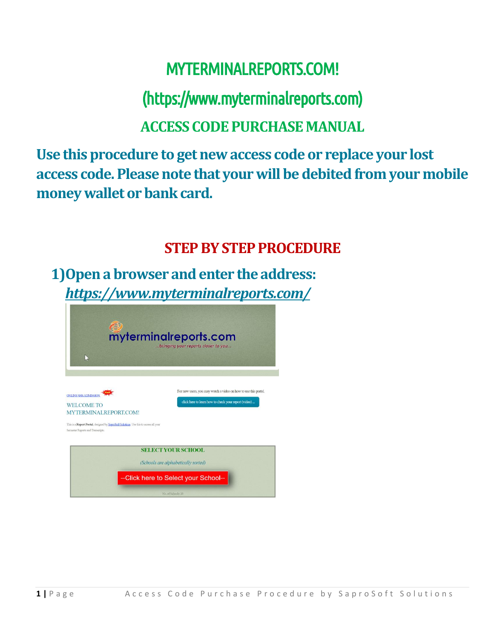# MYTERMINALREPORTS.COM!

### (https://www.myterminalreports.com)

#### **ACCESS CODE PURCHASEMANUAL**

**Use this procedure to get new access code or replace your lost access code. Please note that your will be debited from your mobile money wallet or bank card.**

#### **STEP BY STEP PROCEDURE**

**1)Open a browser and enter the address:**  *https://www.myterminalreports.com/*

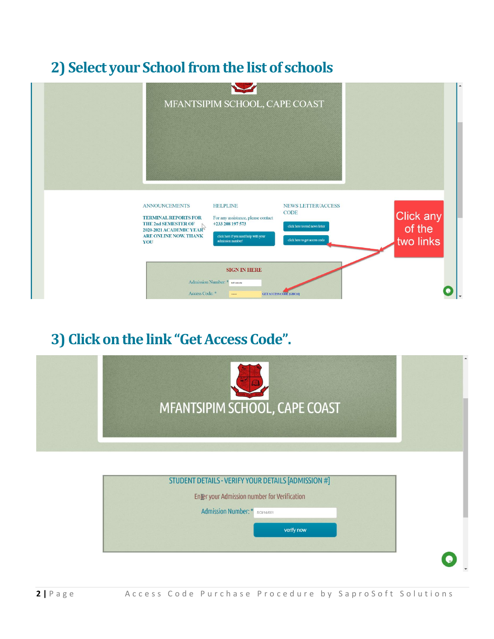### **2) Select your School from the list of schools**



#### **3) Click on the link "Get Access Code".**

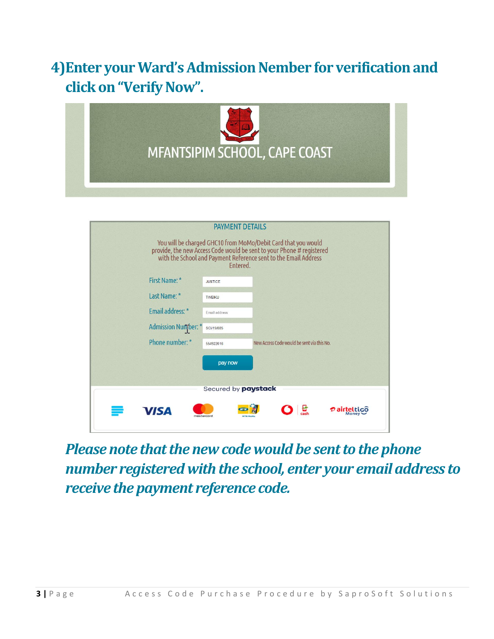### **4)Enter your Ward's AdmissionNember for verification and click on "Verify Now".**



|                            | <b>PAYMENT DETAILS</b><br>You will be charged GHC10 from MoMo/Debit Card that you would<br>provide, the new Access Code would be sent to your Phone # registered<br>with the School and Payment Reference sent to the Email Address<br>Entered. |
|----------------------------|-------------------------------------------------------------------------------------------------------------------------------------------------------------------------------------------------------------------------------------------------|
| First Name: *              | <b>JUSTICE</b>                                                                                                                                                                                                                                  |
| Last Name: *               | <b>TWEIKU</b>                                                                                                                                                                                                                                   |
| Email address: *           | Email address                                                                                                                                                                                                                                   |
| <b>Admission Number:</b> * | SCI/19/085                                                                                                                                                                                                                                      |
| Phone number: *            | New Access Code would be sent via this No.<br>554922616                                                                                                                                                                                         |
|                            | pay now                                                                                                                                                                                                                                         |
|                            | Secured by <b>paystack</b>                                                                                                                                                                                                                      |
| <b>VISA</b>                | Monev<br>mastercard                                                                                                                                                                                                                             |

*Please note that the new code would be sent to the phone number registered with the school, enter your email address to receive the payment reference code.*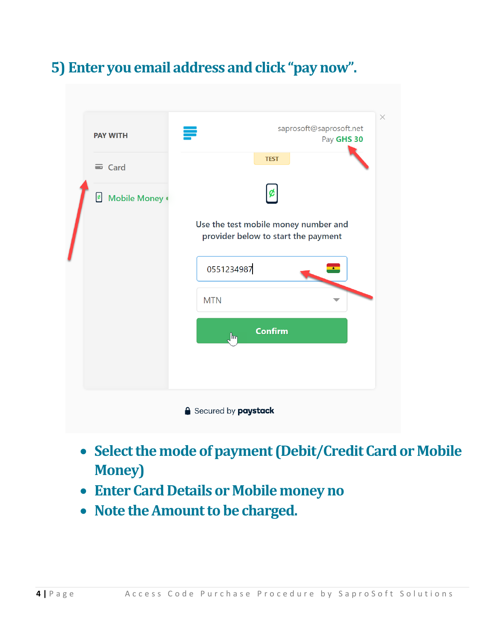# **5) Enter you email address andclick "pay now".**

| <b>PAY WITH</b>                     | saprosoft@saprosoft.net<br>Pay GHS 30                                       |
|-------------------------------------|-----------------------------------------------------------------------------|
| $\equiv$ Card                       | <b>TEST</b>                                                                 |
| Mobile Money<br>$\pmb{\mathcal{C}}$ | ¢                                                                           |
|                                     | Use the test mobile money number and<br>provider below to start the payment |
|                                     | 0551234987<br>$\star$                                                       |
|                                     | <b>MTN</b>                                                                  |
|                                     | <b>Confirm</b><br>$\int_{\mathbb{R}}$                                       |
|                                     |                                                                             |
|                                     |                                                                             |

- **Select the mode ofpayment (Debit/Credit Card or Mobile Money)**
- **Enter Card Details or Mobile money no**
- **Note the Amount to be charged.**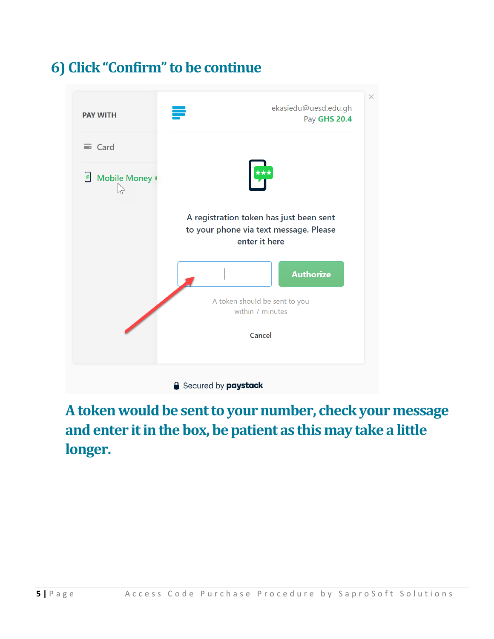### **6) Click "Confirm" to be continue**



### **A token would be sent to your number, check your message and enter it in the box, be patient as this may take a little longer.**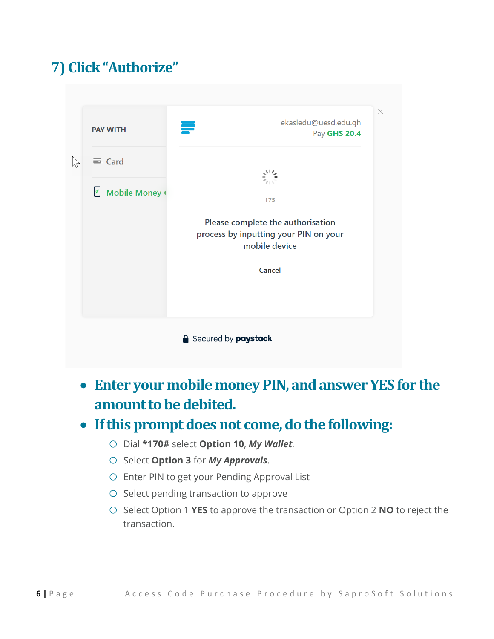# **7) Click "Authorize"**

| <b>PAY WITH</b>                            | ekasiedu@uesd.edu.gh<br>₹<br>Pay GHS 20.4              |
|--------------------------------------------|--------------------------------------------------------|
|                                            |                                                        |
| $\equiv$ Card                              |                                                        |
|                                            |                                                        |
| $\boldsymbol{\mathcal{C}}$<br>Mobile Money | 175                                                    |
|                                            |                                                        |
|                                            | Please complete the authorisation                      |
|                                            | process by inputting your PIN on your<br>mobile device |
|                                            |                                                        |
|                                            | Cancel                                                 |
|                                            |                                                        |
|                                            |                                                        |
|                                            |                                                        |
|                                            | <b>Secured by paystack</b>                             |

• **Enter your mobile money PIN, and answer YES for the amount to be debited.**

#### • **If this prompt does not come, do the following:**

- o Dial **\*170#** select **Option 10**, *My Wallet.*
- o Select **Option 3** for *My Approvals*.
- o Enter PIN to get your Pending Approval List
- o Select pending transaction to approve
- o Select Option 1 **YES** to approve the transaction or Option 2 **NO** to reject the transaction.